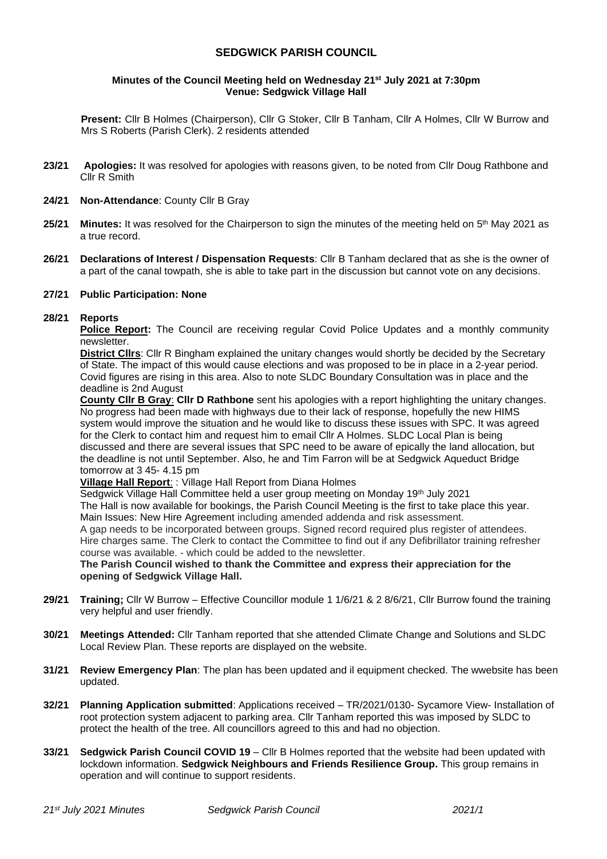# **SEDGWICK PARISH COUNCIL**

#### **Minutes of the Council Meeting held on Wednesday 21st July 2021 at 7:30pm Venue: Sedgwick Village Hall**

**Present:** Cllr B Holmes (Chairperson), Cllr G Stoker, Cllr B Tanham, Cllr A Holmes, Cllr W Burrow and Mrs S Roberts (Parish Clerk). 2 residents attended

- **23/21 Apologies:** It was resolved for apologies with reasons given, to be noted from Cllr Doug Rathbone and Cllr R Smith
- **24/21 Non-Attendance**: County Cllr B Gray
- **25/21 Minutes:** It was resolved for the Chairperson to sign the minutes of the meeting held on 5 th May 2021 as a true record.
- **26/21 Declarations of Interest / Dispensation Requests**: Cllr B Tanham declared that as she is the owner of a part of the canal towpath, she is able to take part in the discussion but cannot vote on any decisions.

#### **27/21 Public Participation: None**

#### **28/21 Reports**

**Police Report:** The Council are receiving regular Covid Police Updates and a monthly community newsletter.

**District Cllrs**: Cllr R Bingham explained the unitary changes would shortly be decided by the Secretary of State. The impact of this would cause elections and was proposed to be in place in a 2-year period. Covid figures are rising in this area. Also to note SLDC Boundary Consultation was in place and the deadline is 2nd August

**County Cllr B Gray**: **Cllr D Rathbone** sent his apologies with a report highlighting the unitary changes. No progress had been made with highways due to their lack of response, hopefully the new HIMS system would improve the situation and he would like to discuss these issues with SPC. It was agreed for the Clerk to contact him and request him to email Cllr A Holmes. SLDC Local Plan is being discussed and there are several issues that SPC need to be aware of epically the land allocation, but the deadline is not until September. Also, he and Tim Farron will be at Sedgwick Aqueduct Bridge tomorrow at 3 45- 4.15 pm

**Village Hall Report**: : Village Hall Report from Diana Holmes

Sedgwick Village Hall Committee held a user group meeting on Monday 19th July 2021 The Hall is now available for bookings, the Parish Council Meeting is the first to take place this year. Main Issues: New Hire Agreement including amended addenda and risk assessment. A gap needs to be incorporated between groups. Signed record required plus register of attendees.

Hire charges same. The Clerk to contact the Committee to find out if any Defibrillator training refresher course was available. - which could be added to the newsletter.

**The Parish Council wished to thank the Committee and express their appreciation for the opening of Sedgwick Village Hall.**

- **29/21 Training;** Cllr W Burrow Effective Councillor module 1 1/6/21 & 2 8/6/21, Cllr Burrow found the training very helpful and user friendly.
- **30/21 Meetings Attended:** Cllr Tanham reported that she attended Climate Change and Solutions and SLDC Local Review Plan. These reports are displayed on the website.
- **31/21 Review Emergency Plan**: The plan has been updated and il equipment checked. The wwebsite has been updated.
- **32/21 Planning Application submitted**: Applications received TR/2021/0130- Sycamore View- Installation of root protection system adjacent to parking area. Cllr Tanham reported this was imposed by SLDC to protect the health of the tree. All councillors agreed to this and had no objection.
- **33/21 Sedgwick Parish Council COVID 19**  Cllr B Holmes reported that the website had been updated with lockdown information. **Sedgwick Neighbours and Friends Resilience Group.** This group remains in operation and will continue to support residents.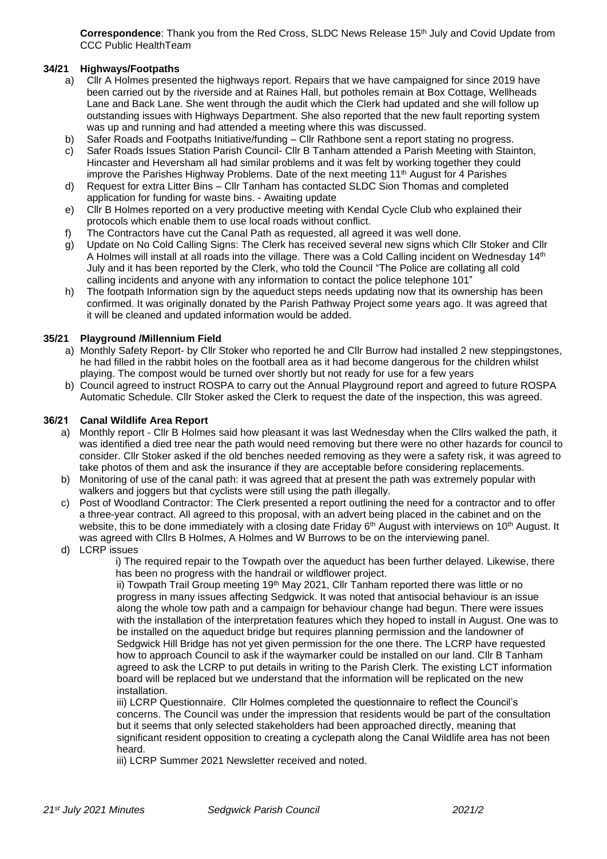**Correspondence**: Thank you from the Red Cross, SLDC News Release 15th July and Covid Update from CCC Public HealthTeam

## **34/21 Highways/Footpaths**

- a) Cllr A Holmes presented the highways report. Repairs that we have campaigned for since 2019 have been carried out by the riverside and at Raines Hall, but potholes remain at Box Cottage, Wellheads Lane and Back Lane. She went through the audit which the Clerk had updated and she will follow up outstanding issues with Highways Department. She also reported that the new fault reporting system was up and running and had attended a meeting where this was discussed.
- b) Safer Roads and Footpaths Initiative/funding Cllr Rathbone sent a report stating no progress.
- c) Safer Roads Issues Station Parish Council- Cllr B Tanham attended a Parish Meeting with Stainton, Hincaster and Heversham all had similar problems and it was felt by working together they could improve the Parishes Highway Problems. Date of the next meeting  $11<sup>th</sup>$  August for 4 Parishes
- d) Request for extra Litter Bins Cllr Tanham has contacted SLDC Sion Thomas and completed application for funding for waste bins. - Awaiting update
- e) Cllr B Holmes reported on a very productive meeting with Kendal Cycle Club who explained their protocols which enable them to use local roads without conflict.
- f) The Contractors have cut the Canal Path as requested, all agreed it was well done.
- g) Update on No Cold Calling Signs: The Clerk has received several new signs which Cllr Stoker and Cllr A Holmes will install at all roads into the village. There was a Cold Calling incident on Wednesday 14<sup>th</sup> July and it has been reported by the Clerk, who told the Council "The Police are collating all cold calling incidents and anyone with any information to contact the police telephone 101"
- h) The footpath Information sign by the aqueduct steps needs updating now that its ownership has been confirmed. It was originally donated by the Parish Pathway Project some years ago. It was agreed that it will be cleaned and updated information would be added.

## **35/21 Playground /Millennium Field**

- a) Monthly Safety Report- by Cllr Stoker who reported he and Cllr Burrow had installed 2 new steppingstones, he had filled in the rabbit holes on the football area as it had become dangerous for the children whilst playing. The compost would be turned over shortly but not ready for use for a few years
- b) Council agreed to instruct ROSPA to carry out the Annual Playground report and agreed to future ROSPA Automatic Schedule. Cllr Stoker asked the Clerk to request the date of the inspection, this was agreed.

#### **36/21 Canal Wildlife Area Report**

- a) Monthly report Cllr B Holmes said how pleasant it was last Wednesday when the Cllrs walked the path, it was identified a died tree near the path would need removing but there were no other hazards for council to consider. Cllr Stoker asked if the old benches needed removing as they were a safety risk, it was agreed to take photos of them and ask the insurance if they are acceptable before considering replacements.
- b) Monitoring of use of the canal path: it was agreed that at present the path was extremely popular with walkers and joggers but that cyclists were still using the path illegally.
- c) Post of Woodland Contractor: The Clerk presented a report outlining the need for a contractor and to offer a three-year contract. All agreed to this proposal, with an advert being placed in the cabinet and on the website, this to be done immediately with a closing date Friday  $6<sup>th</sup>$  August with interviews on 10<sup>th</sup> August. It was agreed with Cllrs B Holmes, A Holmes and W Burrows to be on the interviewing panel.
- d) LCRP issues

i) The required repair to the Towpath over the aqueduct has been further delayed. Likewise, there has been no progress with the handrail or wildflower project.

ii) Towpath Trail Group meeting 19<sup>th</sup> May 2021, Cllr Tanham reported there was little or no progress in many issues affecting Sedgwick. It was noted that antisocial behaviour is an issue along the whole tow path and a campaign for behaviour change had begun. There were issues with the installation of the interpretation features which they hoped to install in August. One was to be installed on the aqueduct bridge but requires planning permission and the landowner of Sedgwick Hill Bridge has not yet given permission for the one there. The LCRP have requested how to approach Council to ask if the waymarker could be installed on our land. Cllr B Tanham agreed to ask the LCRP to put details in writing to the Parish Clerk. The existing LCT information board will be replaced but we understand that the information will be replicated on the new installation.

iii) LCRP Questionnaire. Cllr Holmes completed the questionnaire to reflect the Council's concerns. The Council was under the impression that residents would be part of the consultation but it seems that only selected stakeholders had been approached directly, meaning that significant resident opposition to creating a cyclepath along the Canal Wildlife area has not been heard.

iii) LCRP Summer 2021 Newsletter received and noted.